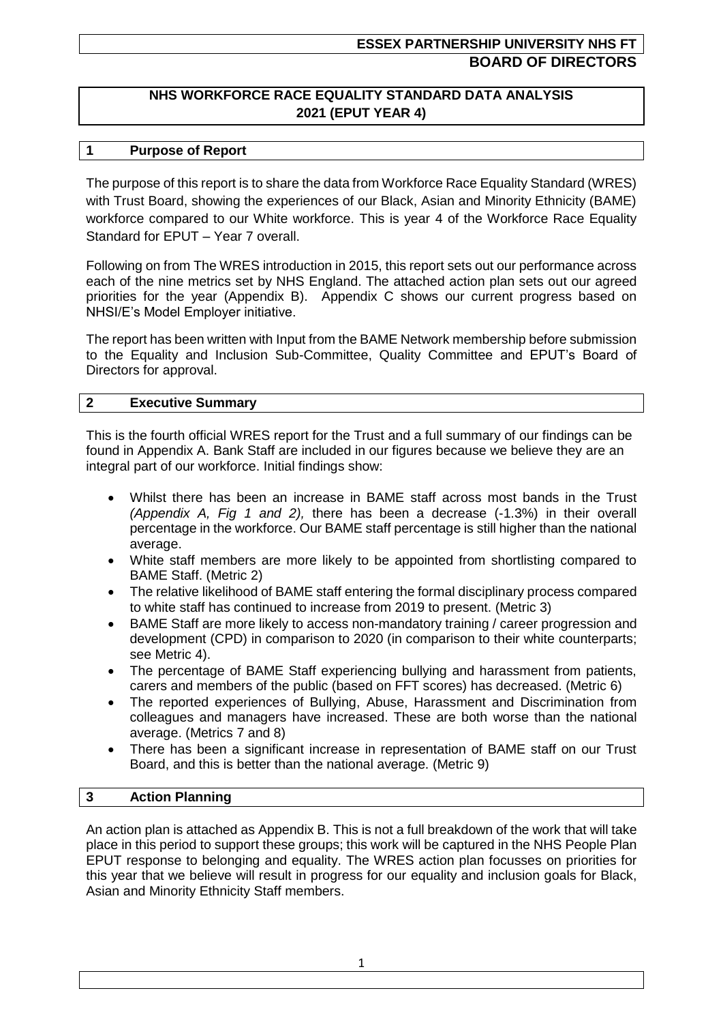# **ESSEX PARTNERSHIP UNIVERSITY NHS FT BOARD OF DIRECTORS**

## **NHS WORKFORCE RACE EQUALITY STANDARD DATA ANALYSIS 2021 (EPUT YEAR 4)**

### **1 Purpose of Report**

The purpose of this report is to share the data from Workforce Race Equality Standard (WRES) with Trust Board, showing the experiences of our Black, Asian and Minority Ethnicity (BAME) workforce compared to our White workforce. This is year 4 of the Workforce Race Equality Standard for EPUT – Year 7 overall.

Following on from The WRES introduction in 2015, this report sets out our performance across each of the nine metrics set by NHS England. The attached action plan sets out our agreed priorities for the year (Appendix B). Appendix C shows our current progress based on NHSI/E's Model Employer initiative.

The report has been written with Input from the BAME Network membership before submission to the Equality and Inclusion Sub-Committee, Quality Committee and EPUT's Board of Directors for approval.

#### **2 Executive Summary**

This is the fourth official WRES report for the Trust and a full summary of our findings can be found in Appendix A. Bank Staff are included in our figures because we believe they are an integral part of our workforce. Initial findings show:

- Whilst there has been an increase in BAME staff across most bands in the Trust *(Appendix A, Fig 1 and 2),* there has been a decrease (-1.3%) in their overall percentage in the workforce. Our BAME staff percentage is still higher than the national average.
- White staff members are more likely to be appointed from shortlisting compared to BAME Staff. (Metric 2)
- The relative likelihood of BAME staff entering the formal disciplinary process compared to white staff has continued to increase from 2019 to present. (Metric 3)
- BAME Staff are more likely to access non-mandatory training / career progression and development (CPD) in comparison to 2020 (in comparison to their white counterparts; see Metric 4).
- The percentage of BAME Staff experiencing bullying and harassment from patients, carers and members of the public (based on FFT scores) has decreased. (Metric 6)
- The reported experiences of Bullying, Abuse, Harassment and Discrimination from colleagues and managers have increased. These are both worse than the national average. (Metrics 7 and 8)
- There has been a significant increase in representation of BAME staff on our Trust Board, and this is better than the national average. (Metric 9)

### **3 Action Planning**

An action plan is attached as Appendix B. This is not a full breakdown of the work that will take place in this period to support these groups; this work will be captured in the NHS People Plan EPUT response to belonging and equality. The WRES action plan focusses on priorities for this year that we believe will result in progress for our equality and inclusion goals for Black, Asian and Minority Ethnicity Staff members.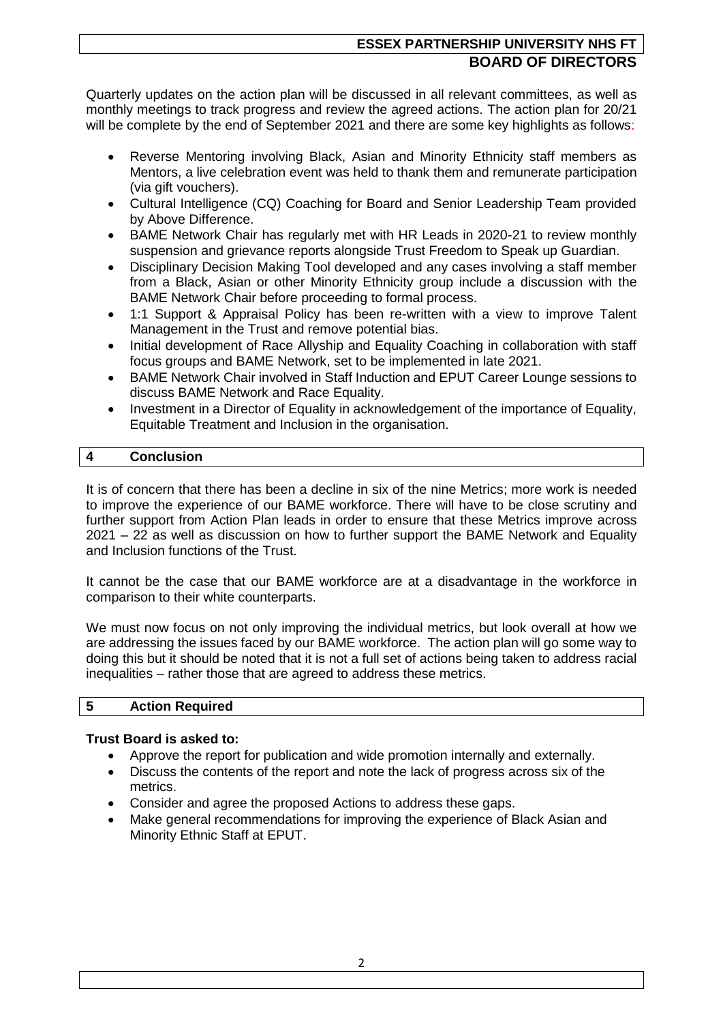# **ESSEX PARTNERSHIP UNIVERSITY NHS FT BOARD OF DIRECTORS**

Quarterly updates on the action plan will be discussed in all relevant committees, as well as monthly meetings to track progress and review the agreed actions. The action plan for 20/21 will be complete by the end of September 2021 and there are some key highlights as follows:

- Reverse Mentoring involving Black, Asian and Minority Ethnicity staff members as Mentors, a live celebration event was held to thank them and remunerate participation (via gift vouchers).
- Cultural Intelligence (CQ) Coaching for Board and Senior Leadership Team provided by Above Difference.
- BAME Network Chair has regularly met with HR Leads in 2020-21 to review monthly suspension and grievance reports alongside Trust Freedom to Speak up Guardian.
- Disciplinary Decision Making Tool developed and any cases involving a staff member from a Black, Asian or other Minority Ethnicity group include a discussion with the BAME Network Chair before proceeding to formal process.
- 1:1 Support & Appraisal Policy has been re-written with a view to improve Talent Management in the Trust and remove potential bias.
- Initial development of Race Allyship and Equality Coaching in collaboration with staff focus groups and BAME Network, set to be implemented in late 2021.
- BAME Network Chair involved in Staff Induction and EPUT Career Lounge sessions to discuss BAME Network and Race Equality.
- Investment in a Director of Equality in acknowledgement of the importance of Equality, Equitable Treatment and Inclusion in the organisation.

### **4 Conclusion**

It is of concern that there has been a decline in six of the nine Metrics; more work is needed to improve the experience of our BAME workforce. There will have to be close scrutiny and further support from Action Plan leads in order to ensure that these Metrics improve across 2021 – 22 as well as discussion on how to further support the BAME Network and Equality and Inclusion functions of the Trust.

It cannot be the case that our BAME workforce are at a disadvantage in the workforce in comparison to their white counterparts.

We must now focus on not only improving the individual metrics, but look overall at how we are addressing the issues faced by our BAME workforce. The action plan will go some way to doing this but it should be noted that it is not a full set of actions being taken to address racial inequalities – rather those that are agreed to address these metrics.

### **5 Action Required**

### **Trust Board is asked to:**

- Approve the report for publication and wide promotion internally and externally.
- Discuss the contents of the report and note the lack of progress across six of the metrics.
- Consider and agree the proposed Actions to address these gaps.
- Make general recommendations for improving the experience of Black Asian and Minority Ethnic Staff at EPUT.